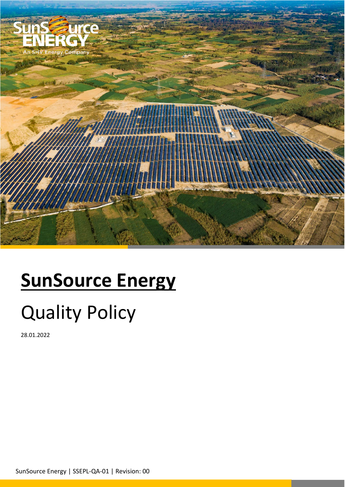

## **SunSource Energy**

## Quality Policy

28.01.2022